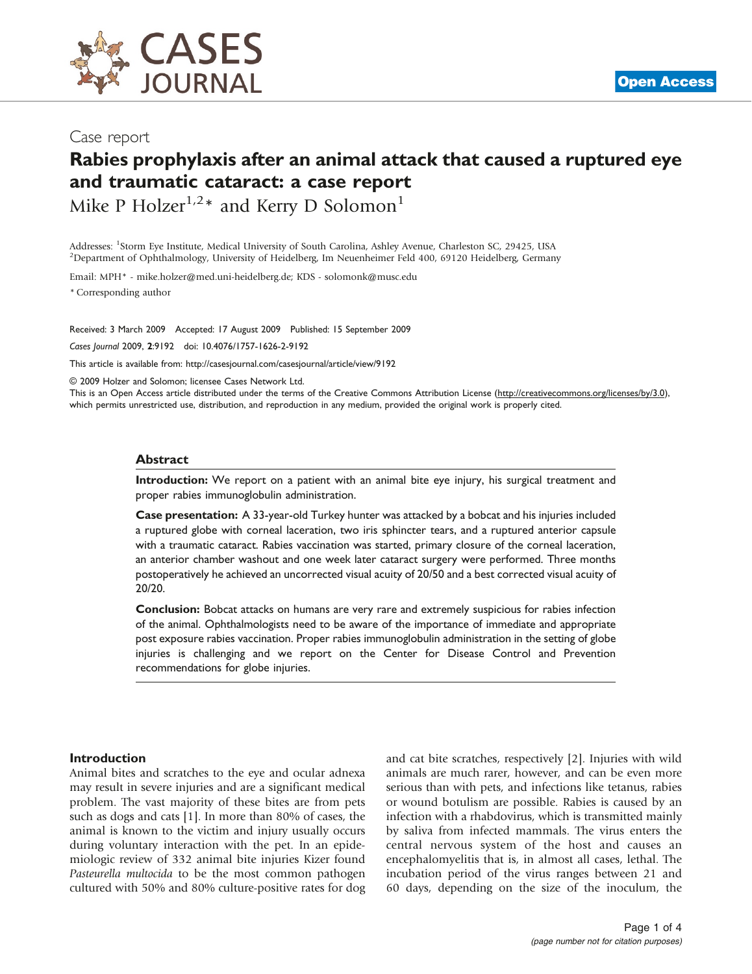

### Case report

# Rabies prophylaxis after an animal attack that caused a ruptured eye and traumatic cataract: a case report

Mike P Holzer<sup>1,2\*</sup> and Kerry D Solomon<sup>1</sup>

Addresses: <sup>1</sup>Storm Eye Institute, Medical University of South Carolina, Ashley Avenue, Charleston SC, 29425, USA<br><sup>2</sup>Department of Ophthalmology, University of Heidelberg, Im Neuenheimer Eeld 400, 69120 Heidelberg, Cerman <sup>2</sup>Department of Ophthalmology, University of Heidelberg, Im Neuenheimer Feld 400, 69120 Heidelberg, Germany

Email: MPH\* - [mike.holzer@med.uni-heidelberg.de](mailto:mike.holzer@med.uni-heidelberg.de); KDS - [solomonk@musc.edu](mailto:solomonk@musc.edu)

\* Corresponding author

Received: 3 March 2009 Accepted: 17 August 2009 Published: 15 September 2009

Cases Journal 2009, 2:9192 doi: 10.4076/1757-1626-2-9192

This article is available from:<http://casesjournal.com/casesjournal/article/view/9192>

© 2009 Holzer and Solomon; licensee Cases Network Ltd.

This is an Open Access article distributed under the terms of the Creative Commons Attribution License [\(http://creativecommons.org/licenses/by/3.0\)](http://creativecommons.org/licenses/by/3.0), which permits unrestricted use, distribution, and reproduction in any medium, provided the original work is properly cited.

#### Abstract

Introduction: We report on a patient with an animal bite eye injury, his surgical treatment and proper rabies immunoglobulin administration.

Case presentation: A 33-year-old Turkey hunter was attacked by a bobcat and his injuries included a ruptured globe with corneal laceration, two iris sphincter tears, and a ruptured anterior capsule with a traumatic cataract. Rabies vaccination was started, primary closure of the corneal laceration, an anterior chamber washout and one week later cataract surgery were performed. Three months postoperatively he achieved an uncorrected visual acuity of 20/50 and a best corrected visual acuity of 20/20.

Conclusion: Bobcat attacks on humans are very rare and extremely suspicious for rabies infection of the animal. Ophthalmologists need to be aware of the importance of immediate and appropriate post exposure rabies vaccination. Proper rabies immunoglobulin administration in the setting of globe injuries is challenging and we report on the Center for Disease Control and Prevention recommendations for globe injuries.

#### Introduction

Animal bites and scratches to the eye and ocular adnexa may result in severe injuries and are a significant medical problem. The vast majority of these bites are from pets such as dogs and cats [[1\]](#page-3-0). In more than 80% of cases, the animal is known to the victim and injury usually occurs during voluntary interaction with the pet. In an epidemiologic review of 332 animal bite injuries Kizer found Pasteurella multocida to be the most common pathogen cultured with 50% and 80% culture-positive rates for dog and cat bite scratches, respectively [[2](#page-3-0)]. Injuries with wild animals are much rarer, however, and can be even more serious than with pets, and infections like tetanus, rabies or wound botulism are possible. Rabies is caused by an infection with a rhabdovirus, which is transmitted mainly by saliva from infected mammals. The virus enters the central nervous system of the host and causes an encephalomyelitis that is, in almost all cases, lethal. The incubation period of the virus ranges between 21 and 60 days, depending on the size of the inoculum, the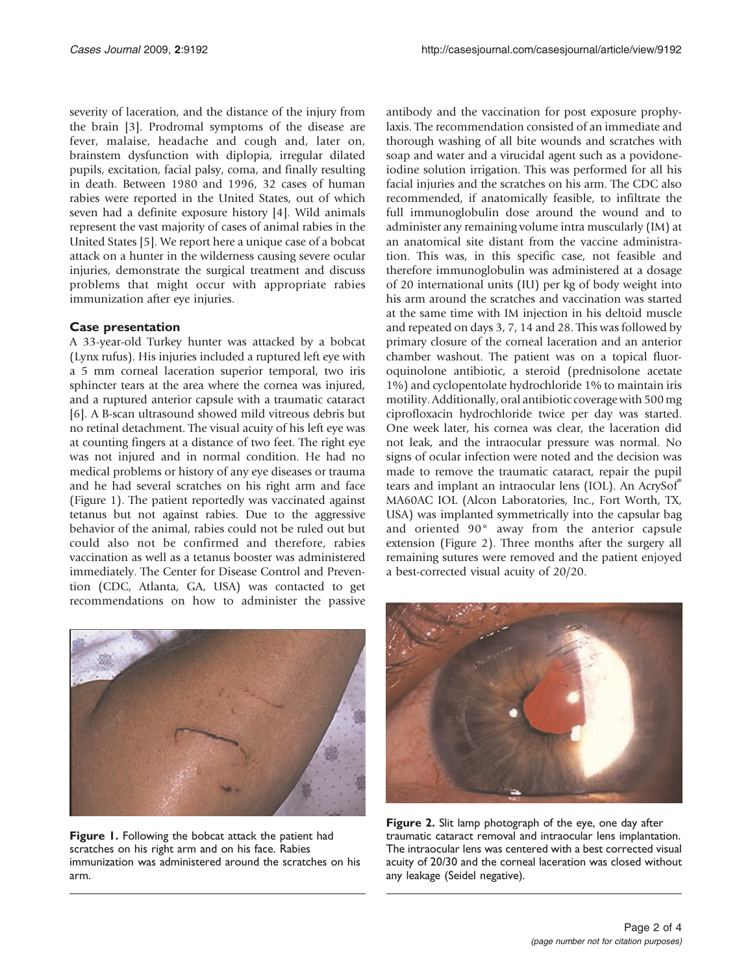severity of laceration, and the distance of the injury from the brain [\[3](#page-3-0)]. Prodromal symptoms of the disease are fever, malaise, headache and cough and, later on, brainstem dysfunction with diplopia, irregular dilated pupils, excitation, facial palsy, coma, and finally resulting in death. Between 1980 and 1996, 32 cases of human rabies were reported in the United States, out of which seven had a definite exposure history [\[4\]](#page-3-0). Wild animals represent the vast majority of cases of animal rabies in the United States [\[5](#page-3-0)]. We report here a unique case of a bobcat attack on a hunter in the wilderness causing severe ocular injuries, demonstrate the surgical treatment and discuss problems that might occur with appropriate rabies immunization after eye injuries.

### Case presentation

A 33-year-old Turkey hunter was attacked by a bobcat (Lynx rufus). His injuries included a ruptured left eye with a 5 mm corneal laceration superior temporal, two iris sphincter tears at the area where the cornea was injured, and a ruptured anterior capsule with a traumatic cataract [\[6](#page-3-0)]. A B-scan ultrasound showed mild vitreous debris but no retinal detachment. The visual acuity of his left eye was at counting fingers at a distance of two feet. The right eye was not injured and in normal condition. He had no medical problems or history of any eye diseases or trauma and he had several scratches on his right arm and face (Figure 1). The patient reportedly was vaccinated against tetanus but not against rabies. Due to the aggressive behavior of the animal, rabies could not be ruled out but could also not be confirmed and therefore, rabies vaccination as well as a tetanus booster was administered immediately. The Center for Disease Control and Prevention (CDC, Atlanta, GA, USA) was contacted to get recommendations on how to administer the passive



Figure 1. Following the bobcat attack the patient had scratches on his right arm and on his face. Rabies immunization was administered around the scratches on his arm.

antibody and the vaccination for post exposure prophylaxis. The recommendation consisted of an immediate and thorough washing of all bite wounds and scratches with soap and water and a virucidal agent such as a povidoneiodine solution irrigation. This was performed for all his facial injuries and the scratches on his arm. The CDC also recommended, if anatomically feasible, to infiltrate the full immunoglobulin dose around the wound and to administer any remaining volume intra muscularly (IM) at an anatomical site distant from the vaccine administration. This was, in this specific case, not feasible and therefore immunoglobulin was administered at a dosage of 20 international units (IU) per kg of body weight into his arm around the scratches and vaccination was started at the same time with IM injection in his deltoid muscle and repeated on days 3, 7, 14 and 28. This was followed by primary closure of the corneal laceration and an anterior chamber washout. The patient was on a topical fluoroquinolone antibiotic, a steroid (prednisolone acetate 1%) and cyclopentolate hydrochloride 1% to maintain iris motility. Additionally, oral antibiotic coverage with 500 mg ciprofloxacin hydrochloride twice per day was started. One week later, his cornea was clear, the laceration did not leak, and the intraocular pressure was normal. No signs of ocular infection were noted and the decision was made to remove the traumatic cataract, repair the pupil tears and implant an intraocular lens (IOL). An AcrySof® MA60AC IOL (Alcon Laboratories, Inc., Fort Worth, TX, USA) was implanted symmetrically into the capsular bag and oriented 90° away from the anterior capsule extension (Figure 2). Three months after the surgery all remaining sutures were removed and the patient enjoyed a best-corrected visual acuity of 20/20.



Figure 2. Slit lamp photograph of the eye, one day after traumatic cataract removal and intraocular lens implantation. The intraocular lens was centered with a best corrected visual acuity of 20/30 and the corneal laceration was closed without any leakage (Seidel negative).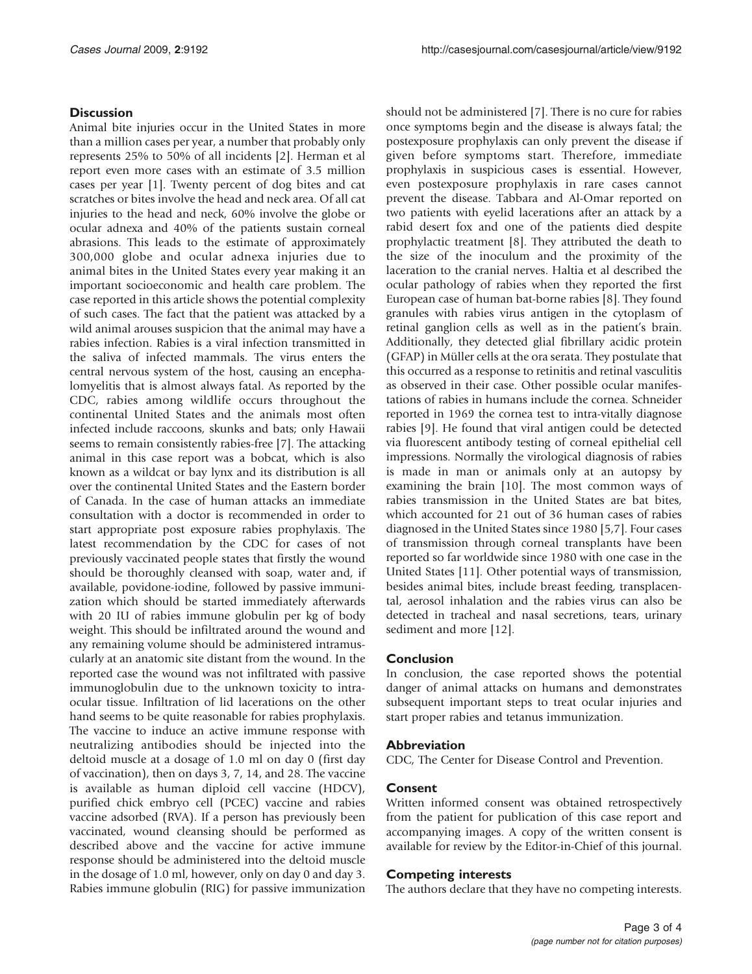### **Discussion**

Animal bite injuries occur in the United States in more than a million cases per year, a number that probably only represents 25% to 50% of all incidents [[2](#page-3-0)]. Herman et al report even more cases with an estimate of 3.5 million cases per year [\[1](#page-3-0)]. Twenty percent of dog bites and cat scratches or bites involve the head and neck area. Of all cat injuries to the head and neck, 60% involve the globe or ocular adnexa and 40% of the patients sustain corneal abrasions. This leads to the estimate of approximately 300,000 globe and ocular adnexa injuries due to animal bites in the United States every year making it an important socioeconomic and health care problem. The case reported in this article shows the potential complexity of such cases. The fact that the patient was attacked by a wild animal arouses suspicion that the animal may have a rabies infection. Rabies is a viral infection transmitted in the saliva of infected mammals. The virus enters the central nervous system of the host, causing an encephalomyelitis that is almost always fatal. As reported by the CDC, rabies among wildlife occurs throughout the continental United States and the animals most often infected include raccoons, skunks and bats; only Hawaii seems to remain consistently rabies-free [\[7\]](#page-3-0). The attacking animal in this case report was a bobcat, which is also known as a wildcat or bay lynx and its distribution is all over the continental United States and the Eastern border of Canada. In the case of human attacks an immediate consultation with a doctor is recommended in order to start appropriate post exposure rabies prophylaxis. The latest recommendation by the CDC for cases of not previously vaccinated people states that firstly the wound should be thoroughly cleansed with soap, water and, if available, povidone-iodine, followed by passive immunization which should be started immediately afterwards with 20 IU of rabies immune globulin per kg of body weight. This should be infiltrated around the wound and any remaining volume should be administered intramuscularly at an anatomic site distant from the wound. In the reported case the wound was not infiltrated with passive immunoglobulin due to the unknown toxicity to intraocular tissue. Infiltration of lid lacerations on the other hand seems to be quite reasonable for rabies prophylaxis. The vaccine to induce an active immune response with neutralizing antibodies should be injected into the deltoid muscle at a dosage of 1.0 ml on day 0 (first day of vaccination), then on days 3, 7, 14, and 28. The vaccine is available as human diploid cell vaccine (HDCV), purified chick embryo cell (PCEC) vaccine and rabies vaccine adsorbed (RVA). If a person has previously been vaccinated, wound cleansing should be performed as described above and the vaccine for active immune response should be administered into the deltoid muscle in the dosage of 1.0 ml, however, only on day 0 and day 3. Rabies immune globulin (RIG) for passive immunization

should not be administered [\[7\]](#page-3-0). There is no cure for rabies once symptoms begin and the disease is always fatal; the postexposure prophylaxis can only prevent the disease if given before symptoms start. Therefore, immediate prophylaxis in suspicious cases is essential. However, even postexposure prophylaxis in rare cases cannot prevent the disease. Tabbara and Al-Omar reported on two patients with eyelid lacerations after an attack by a rabid desert fox and one of the patients died despite prophylactic treatment [\[8](#page-3-0)]. They attributed the death to the size of the inoculum and the proximity of the laceration to the cranial nerves. Haltia et al described the ocular pathology of rabies when they reported the first European case of human bat-borne rabies [\[8\]](#page-3-0). They found granules with rabies virus antigen in the cytoplasm of retinal ganglion cells as well as in the patient's brain. Additionally, they detected glial fibrillary acidic protein (GFAP) in Müller cells at the ora serata. They postulate that this occurred as a response to retinitis and retinal vasculitis as observed in their case. Other possible ocular manifestations of rabies in humans include the cornea. Schneider reported in 1969 the cornea test to intra-vitally diagnose rabies [[9](#page-3-0)]. He found that viral antigen could be detected via fluorescent antibody testing of corneal epithelial cell impressions. Normally the virological diagnosis of rabies is made in man or animals only at an autopsy by examining the brain [[10](#page-3-0)]. The most common ways of rabies transmission in the United States are bat bites, which accounted for 21 out of 36 human cases of rabies diagnosed in the United States since 1980 [\[5,7\]](#page-3-0). Four cases of transmission through corneal transplants have been reported so far worldwide since 1980 with one case in the United States [[11\]](#page-3-0). Other potential ways of transmission, besides animal bites, include breast feeding, transplacental, aerosol inhalation and the rabies virus can also be detected in tracheal and nasal secretions, tears, urinary sediment and more [[12\]](#page-3-0).

#### Conclusion

In conclusion, the case reported shows the potential danger of animal attacks on humans and demonstrates subsequent important steps to treat ocular injuries and start proper rabies and tetanus immunization.

#### Abbreviation

CDC, The Center for Disease Control and Prevention.

#### Consent

Written informed consent was obtained retrospectively from the patient for publication of this case report and accompanying images. A copy of the written consent is available for review by the Editor-in-Chief of this journal.

#### Competing interests

The authors declare that they have no competing interests.